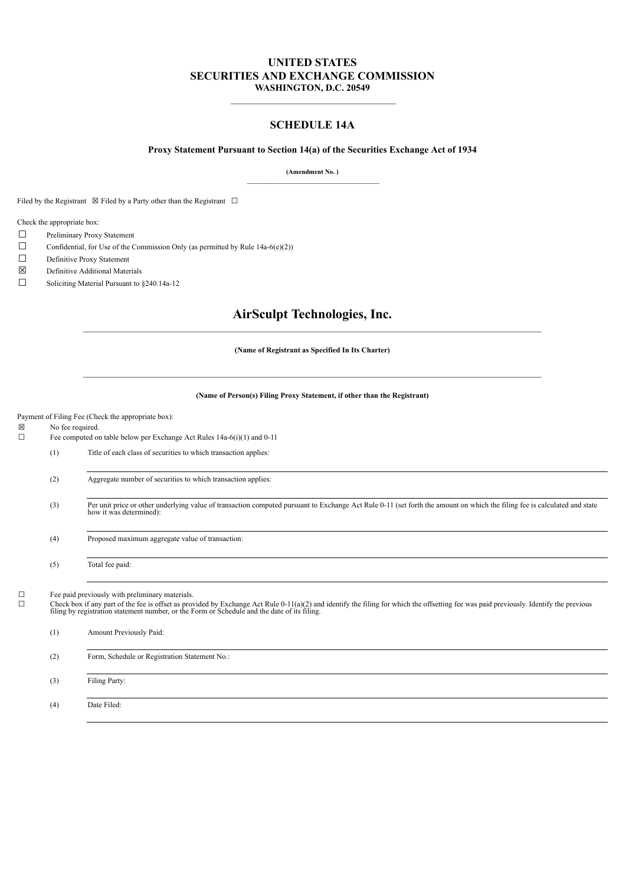## **UNITED STATES SECURITIES AND EXCHANGE COMMISSION WASHINGTON, D.C. 20549**

## **SCHEDULE 14A**

#### **Proxy Statement Pursuant to Section 14(a) of the Securities Exchange Act of 1934**

**(Amendment No. )** \_\_\_\_\_\_\_\_\_\_\_\_\_\_\_\_\_\_\_\_\_\_\_\_\_\_\_\_\_\_\_\_\_\_\_

Filed by the Registrant  $\boxtimes$  Filed by a Party other than the Registrant  $\Box$ 

Check the appropriate box:

- ☐ Preliminary Proxy Statement
- $\Box$  Confidential, for Use of the Commission Only (as permitted by Rule 14a-6(e)(2))
- ☐ Definitive Proxy Statement
- ☒ Definitive Additional Materials
- ☐ Soliciting Material Pursuant to §240.14a-12

## **AirSculpt Technologies, Inc.**

**(Name of Registrant as Specified In Its Charter)**

#### **(Name of Person(s) Filing Proxy Statement, if other than the Registrant)**

Payment of Filing Fee (Check the appropriate box):

☒ No fee required.

☐ Fee computed on table below per Exchange Act Rules 14a-6(i)(1) and 0-11

(1) Title of each class of securities to which transaction applies:

- (2) Aggregate number of securities to which transaction applies:
- (3) Per unit price or other underlying value of transaction computed pursuant to Exchange Act Rule 0-11 (set forth the amount on which the filing fee is calculated and state how it was determined):
- (4) Proposed maximum aggregate value of transaction:

(5) Total fee paid:

 $\Box$  Fee paid previously with preliminary materials.<br> $\Box$  Check box if any part of the fee is offset as pro-

 $\Box$  Check box if any part of the fee is offset as provided by Exchange Act Rule 0-11(a)(2) and identify the filing for which the offsetting fee was paid previously. Identify the previous filing by registration statement

| (1) | Amount Previously Paid:                       |
|-----|-----------------------------------------------|
| (2) | Form, Schedule or Registration Statement No.: |
| (3) | Filing Party:                                 |
| (4) | Date Filed:                                   |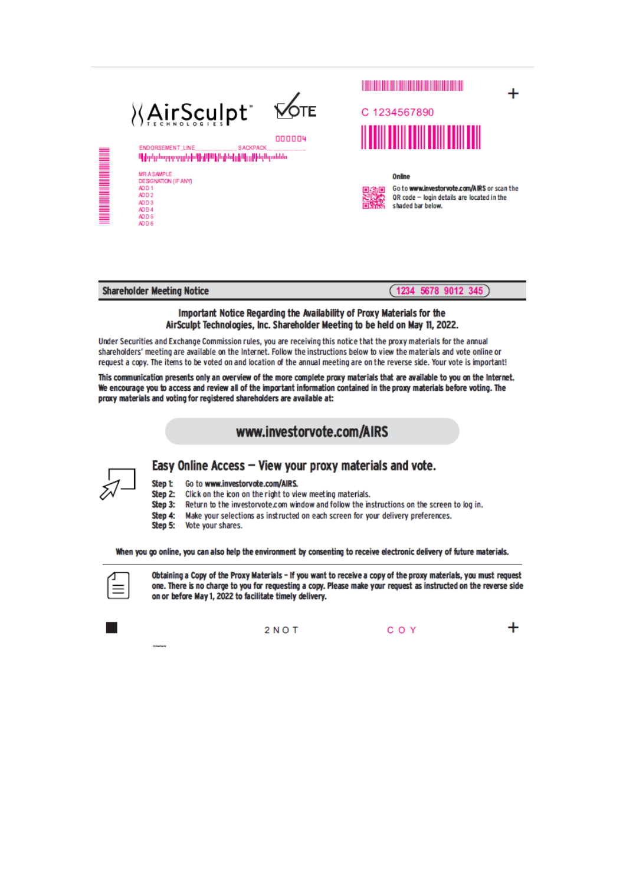|                                            | <b>XAirSculpt</b> *<br>ENDORSEMENT LINE<br><b>SACKPACK</b><br>Միիզմը հարցաթղթիւβիվ ՄԱհիվ ժովը իԱլը ՒեղԱրտենես                   | <b>VOTE</b><br>000004 | C 1234567890                                                                                                             |  |
|--------------------------------------------|---------------------------------------------------------------------------------------------------------------------------------|-----------------------|--------------------------------------------------------------------------------------------------------------------------|--|
| <b>THE REAL PROPERTY AND REAL PROPERTY</b> | <b>MRASAMPLE</b><br>DESIGNATION (IF ANY)<br>ADD <sub>1</sub><br>ADD <sub>2</sub><br>ADD <sub>3</sub><br>ADD 4<br>ADD 5<br>ADD 6 |                       | Online<br>Go to www.investorvote.com/AIRS or scan the<br>QR code - login details are located in the<br>shaded bar below. |  |

| <b>Shareholder Meeting Notice</b> |  |  |
|-----------------------------------|--|--|
|-----------------------------------|--|--|

 $(1234 5678 9012 345)$ 

The material material material material material material material material material material material

### Important Notice Regarding the Availability of Proxy Materials for the AirSculpt Technologies, Inc. Shareholder Meeting to be held on May 11, 2022.

Under Securities and Exchange Commission rules, you are receiving this notice that the proxy materials for the annual shareholders' meeting are available on the Internet. Follow the instructions below to view the materials and vote online or request a copy. The items to be voted on and location of the annual meeting are on the reverse side. Your vote is important!

This communication presents only an overview of the more complete proxy materials that are available to you on the Internet. We encourage you to access and review all of the important information contained in the proxy materials before voting. The proxy materials and voting for registered shareholders are available at:

# www.investorvote.com/AIRS



Step 1: Go to www.investorvote.com/AIRS.

Click on the icon on the right to view meeting materials. Step 2:

Return to the investoryote.com window and follow the instructions on the screen to log in. Step 3:

Step 4: Make your selections as instructed on each screen for your delivery preferences.

Easy Online Access - View your proxy materials and vote.

Step 5: Vote your shares.

When you go online, you can also help the environment by consenting to receive electronic delivery of future materials.



Obtaining a Copy of the Proxy Materials - If you want to receive a copy of the proxy materials, you must request one. There is no charge to you for requesting a copy. Please make your request as instructed on the reverse side on or before May 1, 2022 to facilitate timely delivery.



╇  $2 N O T$ COY